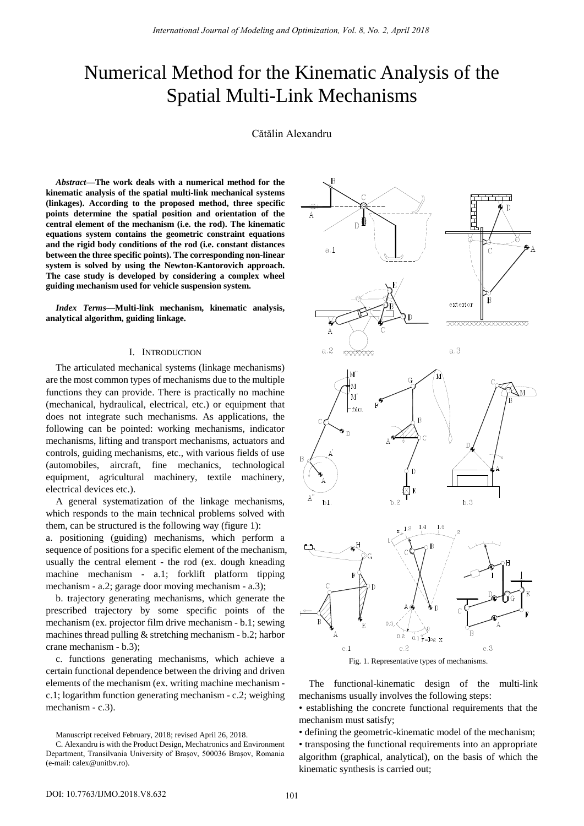# Numerical Method for the Kinematic Analysis of the Spatial Multi-Link Mechanisms

Cătălin Alexandru

*Abstract***—The work deals with a numerical method for the kinematic analysis of the spatial multi-link mechanical systems (linkages). According to the proposed method, three specific points determine the spatial position and orientation of the central element of the mechanism (i.e. the rod). The kinematic equations system contains the geometric constraint equations and the rigid body conditions of the rod (i.e. constant distances between the three specific points). The corresponding non-linear system is solved by using the Newton-Kantorovich approach. The case study is developed by considering a complex wheel guiding mechanism used for vehicle suspension system.** 

*Index Terms***—Multi-link mechanism, kinematic analysis, analytical algorithm, guiding linkage.** 

### I. INTRODUCTION

The articulated mechanical systems (linkage mechanisms) are the most common types of mechanisms due to the multiple functions they can provide. There is practically no machine (mechanical, hydraulical, electrical, etc.) or equipment that does not integrate such mechanisms. As applications, the following can be pointed: working mechanisms, indicator mechanisms, lifting and transport mechanisms, actuators and controls, guiding mechanisms, etc., with various fields of use (automobiles, aircraft, fine mechanics, technological equipment, agricultural machinery, textile machinery, electrical devices etc.).

A general systematization of the linkage mechanisms, which responds to the main technical problems solved with them, can be structured is the following way (figure 1):

a. positioning (guiding) mechanisms, which perform a sequence of positions for a specific element of the mechanism, usually the central element - the rod (ex. dough kneading machine mechanism - a.1; forklift platform tipping mechanism - a.2; garage door moving mechanism - a.3);

b. trajectory generating mechanisms, which generate the prescribed trajectory by some specific points of the mechanism (ex. projector film drive mechanism - b.1; sewing machines thread pulling & stretching mechanism - b.2; harbor crane mechanism - b.3);

c. functions generating mechanisms, which achieve a certain functional dependence between the driving and driven elements of the mechanism (ex. writing machine mechanism c.1; logarithm function generating mechanism - c.2; weighing mechanism - c.3).

Manuscript received February, 2018; revised April 26, 2018.



Fig. 1. Representative types of mechanisms.

The functional-kinematic design of the multi-link mechanisms usually involves the following steps:

• establishing the concrete functional requirements that the mechanism must satisfy;

• defining the geometric-kinematic model of the mechanism;

• transposing the functional requirements into an appropriate algorithm (graphical, analytical), on the basis of which the kinematic synthesis is carried out;

C. Alexandru is with the Product Design, Mechatronics and Environment Department, Transilvania University of Braşov, 500036 Braşov, Romania (e-mail: calex@unitbv.ro).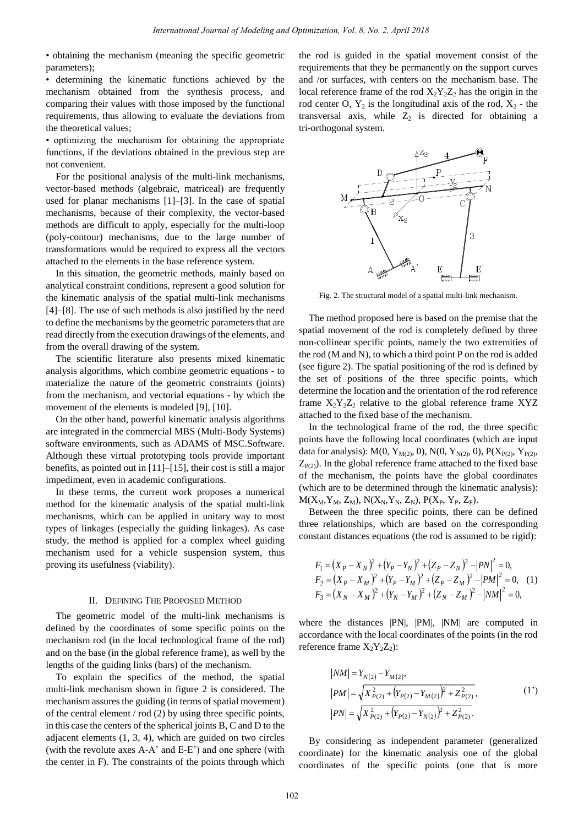• obtaining the mechanism (meaning the specific geometric parameters);

• determining the kinematic functions achieved by the mechanism obtained from the synthesis process, and comparing their values with those imposed by the functional requirements, thus allowing to evaluate the deviations from the theoretical values;

• optimizing the mechanism for obtaining the appropriate functions, if the deviations obtained in the previous step are not convenient.

For the positional analysis of the multi-link mechanisms, vector-based methods (algebraic, matriceal) are frequently used for planar mechanisms [1]–[3]. In the case of spatial mechanisms, because of their complexity, the vector-based methods are difficult to apply, especially for the multi-loop (poly-contour) mechanisms, due to the large number of transformations would be required to express all the vectors attached to the elements in the base reference system.

In this situation, the geometric methods, mainly based on analytical constraint conditions, represent a good solution for the kinematic analysis of the spatial multi-link mechanisms [4]–[8]. The use of such methods is also justified by the need to define the mechanisms by the geometric parameters that are read directly from the execution drawings of the elements, and from the overall drawing of the system.

The scientific literature also presents mixed kinematic analysis algorithms, which combine geometric equations - to materialize the nature of the geometric constraints (joints) from the mechanism, and vectorial equations - by which the movement of the elements is modeled [9], [10].

On the other hand, powerful kinematic analysis algorithms are integrated in the commercial MBS (Multi-Body Systems) software environments, such as ADAMS of MSC.Software. Although these virtual prototyping tools provide important benefits, as pointed out in [11]–[15], their cost is still a major impediment, even in academic configurations.

In these terms, the current work proposes a numerical method for the kinematic analysis of the spatial multi-link mechanisms, which can be applied in unitary way to most types of linkages (especially the guiding linkages). As case study, the method is applied for a complex wheel guiding mechanism used for a vehicle suspension system, thus proving its usefulness (viability).

### II. DEFINING THE PROPOSED METHOD

The geometric model of the multi-link mechanisms is defined by the coordinates of some specific points on the mechanism rod (in the local technological frame of the rod) and on the base (in the global reference frame), as well by the lengths of the guiding links (bars) of the mechanism.

To explain the specifics of the method, the spatial multi-link mechanism shown in figure 2 is considered. The mechanism assures the guiding (in terms of spatial movement) of the central element / rod (2) by using three specific points, in this case the centers of the spherical joints B, C and D to the adjacent elements (1, 3, 4), which are guided on two circles (with the revolute axes A-A' and E-E') and one sphere (with the center in F). The constraints of the points through which

the rod is guided in the spatial movement consist of the requirements that they be permanently on the support curves and /or surfaces, with centers on the mechanism base. The local reference frame of the rod  $X_2Y_2Z_2$  has the origin in the rod center O,  $Y_2$  is the longitudinal axis of the rod,  $X_2$  - the transversal axis, while  $Z_2$  is directed for obtaining a tri-orthogonal system.



Fig. 2. The structural model of a spatial multi-link mechanism.

The method proposed here is based on the premise that the spatial movement of the rod is completely defined by three non-collinear specific points, namely the two extremities of the rod (M and N), to which a third point P on the rod is added (see figure 2). The spatial positioning of the rod is defined by the set of positions of the three specific points, which determine the location and the orientation of the rod reference frame  $X_2Y_2Z_2$  relative to the global reference frame XYZ attached to the fixed base of the mechanism.

In the technological frame of the rod, the three specific points have the following local coordinates (which are input data for analysis):  $M(0, Y_{M(2)}, 0)$ ,  $N(0, Y_{N(2)}, 0)$ ,  $P(X_{P(2)}, Y_{P(2)},$  $Z_{P(2)}$ ). In the global reference frame attached to the fixed base of the mechanism, the points have the global coordinates (which are to be determined through the kinematic analysis):  $M(X_M, Y_M, Z_M)$ ,  $N(X_N, Y_N, Z_N)$ ,  $P(X_P, Y_P, Z_P)$ .

Between the three specific points, there can be defined three relationships, which are based on the corresponding

constant distances equations (the rod is assumed to be rigid):  
\n
$$
F_1 = (X_P - X_N)^2 + (Y_P - Y_N)^2 + (Z_P - Z_N)^2 - |PN|^2 = 0,
$$
\n
$$
F_2 = (X_P - X_M)^2 + (Y_P - Y_M)^2 + (Z_P - Z_M)^2 - |PM|^2 = 0,
$$
\n
$$
F_3 = (X_N - X_M)^2 + (Y_N - Y_M)^2 + (Z_N - Z_M)^2 - |NM|^2 = 0,
$$

where the distances |PN|, |PM|, |NM| are computed in accordance with the local coordinates of the points (in the rod reference frame  $X_2Y_2Z_2$ :

$$
|NM| = Y_{N(2)} - Y_{M(2)},
$$
  
\n
$$
|PM| = \sqrt{X_{P(2)}^2 + (Y_{P(2)} - Y_{M(2)})^2 + Z_{P(2)}^2},
$$
  
\n
$$
|PN| = \sqrt{X_{P(2)}^2 + (Y_{P(2)} - Y_{N(2)})^2 + Z_{P(2)}^2}.
$$
\n(1')

By considering as independent parameter (generalized coordinate) for the kinematic analysis one of the global coordinates of the specific points (one that is more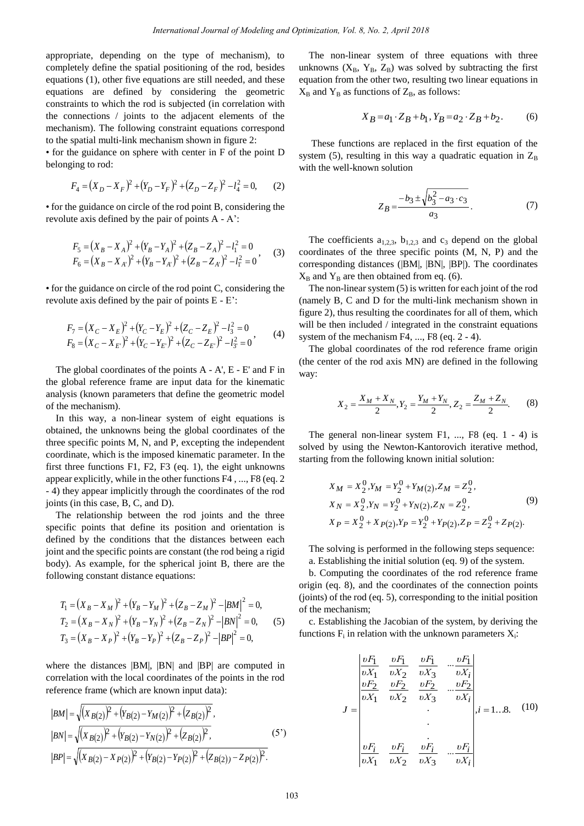appropriate, depending on the type of mechanism), to completely define the spatial positioning of the rod, besides equations (1), other five equations are still needed, and these equations are defined by considering the geometric constraints to which the rod is subjected (in correlation with the connections / joints to the adjacent elements of the mechanism). The following constraint equations correspond to the spatial multi-link mechanism shown in figure 2:

• for the guidance on sphere with center in F of the point D belonging to rod:

ging to rod:  
\n
$$
F_4 = (X_D - X_F)^2 + (Y_D - Y_F)^2 + (Z_D - Z_F)^2 - l_4^2 = 0,
$$
\n(2)

• for the guidance on circle of the rod point B, considering the revolute axis defined by the pair of points A - A':

$$
F_5 = (X_B - X_A)^2 + (Y_B - Y_A)^2 + (Z_B - Z_A)^2 - l_1^2 = 0
$$
  
\n
$$
F_6 = (X_B - X_A)^2 + (Y_B - Y_A)^2 + (Z_B - Z_A)^2 - l_1^2 = 0
$$
 (3)

• for the guidance on circle of the rod point C, considering the

revolute axis defined by the pair of points E - E':  
\n
$$
F_7 = (X_C - X_E)^2 + (Y_C - Y_E)^2 + (Z_C - Z_E)^2 - l_3^2 = 0
$$
\n
$$
F_8 = (X_C - X_E)^2 + (Y_C - Y_E)^2 + (Z_C - Z_E)^2 - l_3^2 = 0
$$
\n(4)

The global coordinates of the points A - A', E - E' and F in the global reference frame are input data for the kinematic analysis (known parameters that define the geometric model of the mechanism).

In this way, a non-linear system of eight equations is obtained, the unknowns being the global coordinates of the three specific points M, N, and P, excepting the independent coordinate, which is the imposed kinematic parameter. In the first three functions F1, F2, F3 (eq. 1), the eight unknowns appear explicitly, while in the other functions F4 , ..., F8 (eq. 2 - 4) they appear implicitly through the coordinates of the rod joints (in this case, B, C, and D).

The relationship between the rod joints and the three specific points that define its position and orientation is defined by the conditions that the distances between each joint and the specific points are constant (the rod being a rigid body). As example, for the spherical joint B, there are the following constant distance equations:

owing constant distance equations:  
\n
$$
T_1 = (X_B - X_M)^2 + (Y_B - Y_M)^2 + (Z_B - Z_M)^2 - |BM|^2 = 0,
$$
\n
$$
T_2 = (X_B - X_N)^2 + (Y_B - Y_N)^2 + (Z_B - Z_N)^2 - |BN|^2 = 0,
$$
\n
$$
T_3 = (X_B - X_P)^2 + (Y_B - Y_P)^2 + (Z_B - Z_P)^2 - |BP|^2 = 0,
$$
\n(5)

where the distances |BM|, |BN| and |BP| are computed in correlation with the local coordinates of the points in the rod<br>reference frame (which are known input data):<br> $|BM| = \sqrt{(X_{B(2)})^2 + (Y_{B(2)} - Y_M_{2})^2 + (Z_{B(2)})^2}$ , reference frame (which are known input data):

$$
|BM| = \sqrt{(X_{B(2)})^2 + (Y_{B(2)} - Y_{M(2)})^2 + (Z_{B(2)})^2},
$$
  
\n
$$
|BN| = \sqrt{(X_{B(2)})^2 + (Y_{B(2)} - Y_{N(2)})^2 + (Z_{B(2)})^2},
$$
  
\n
$$
|BP| = \sqrt{(X_{B(2)} - X_{P(2)})^2 + (Y_{B(2)} - Y_{P(2)})^2 + (Z_{B(2))} - Z_{P(2)})^2}.
$$
\n(5')

The non-linear system of three equations with three unknowns  $(X_B, Y_B, Z_B)$  was solved by subtracting the first equation from the other two, resulting two linear equations in  $X_B$  and  $Y_B$  as functions of  $Z_B$ , as follows:

$$
X_B = a_1 \cdot Z_B + b_1, \, Y_B = a_2 \cdot Z_B + b_2. \tag{6}
$$

 These functions are replaced in the first equation of the system (5), resulting in this way a quadratic equation in  $Z_B$ with the well-known solution

$$
Z_B = \frac{-b_3 \pm \sqrt{b_3^2 - a_3 \cdot c_3}}{a_3}.
$$
 (7)

The coefficients  $a_{1,2,3}$ ,  $b_{1,2,3}$  and  $c_3$  depend on the global coordinates of the three specific points (M, N, P) and the corresponding distances (|BM|, |BN|, |BP|). The coordinates  $X_B$  and  $Y_B$  are then obtained from eq. (6).

The non-linear system (5) is written for each joint of the rod (namely B, C and D for the multi-link mechanism shown in figure 2), thus resulting the coordinates for all of them, which will be then included / integrated in the constraint equations system of the mechanism F4, ..., F8 (eq. 2 - 4).

The global coordinates of the rod reference frame origin (the center of the rod axis MN) are defined in the following way:

$$
X_2 = \frac{X_M + X_N}{2}, Y_2 = \frac{Y_M + Y_N}{2}, Z_2 = \frac{Z_M + Z_N}{2}.
$$
 (8)

The general non-linear system  $F1$ , ...,  $F8$  (eq. 1 - 4) is solved by using the Newton-Kantorovich iterative method, starting from the following known initial solution:

$$
X_M = X_2^0, Y_M = Y_2^0 + Y_M(2), Z_M = Z_2^0,
$$
  
\n
$$
X_N = X_2^0, Y_N = Y_2^0 + Y_N(2), Z_N = Z_2^0,
$$
  
\n
$$
X_P = X_2^0 + X_{P(2)}, Y_P = Y_2^0 + Y_{P(2)}, Z_P = Z_2^0 + Z_{P(2)}.
$$
\n(9)

The solving is performed in the following steps sequence: a. Establishing the initial solution (eq. 9) of the system.

b. Computing the coordinates of the rod reference frame origin (eq. 8), and the coordinates of the connection points (joints) of the rod (eq. 5), corresponding to the initial position of the mechanism;

c. Establishing the Jacobian of the system, by deriving the functions  $F_i$  in relation with the unknown parameters  $X_i$ :

$$
J = \begin{vmatrix} \frac{\partial F_1}{\partial X_1} & \frac{\partial F_1}{\partial X_2} & \frac{\partial F_1}{\partial X_3} & \cdots & \frac{\partial F_1}{\partial X_i} \\ \frac{\partial F_2}{\partial X_1} & \frac{\partial F_2}{\partial X_2} & \frac{\partial F_2}{\partial X_3} & \cdots & \frac{\partial F_2}{\partial X_i} \\ \vdots & \vdots & \ddots & \vdots \\ \frac{\partial F_i}{\partial X_1} & \frac{\partial F_i}{\partial X_2} & \frac{\partial F_i}{\partial X_3} & \cdots & \frac{\partial F_i}{\partial X_i} \end{vmatrix}, i = 1...8.
$$
 (10)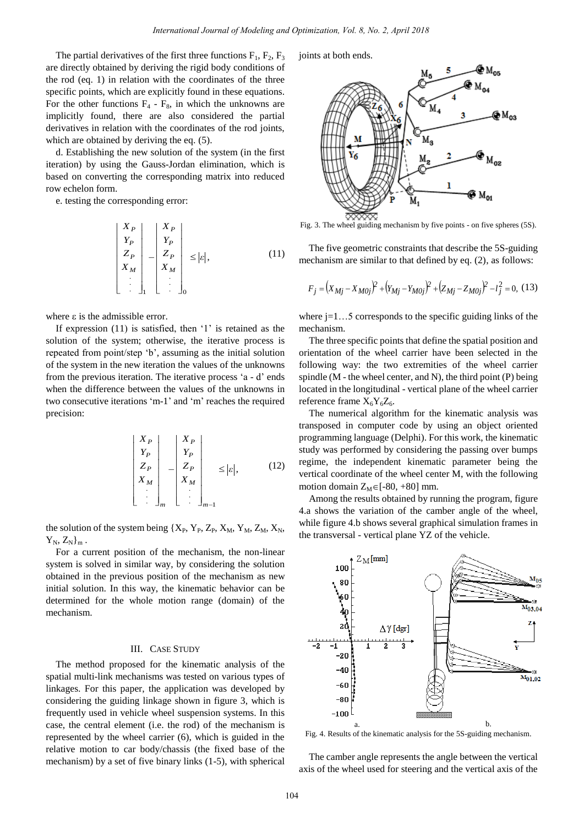The partial derivatives of the first three functions  $F_1$ ,  $F_2$ ,  $F_3$ are directly obtained by deriving the rigid body conditions of the rod (eq. 1) in relation with the coordinates of the three specific points, which are explicitly found in these equations. For the other functions  $F_4$  -  $F_8$ , in which the unknowns are implicitly found, there are also considered the partial derivatives in relation with the coordinates of the rod joints, which are obtained by deriving the eq.  $(5)$ .

d. Establishing the new solution of the system (in the first iteration) by using the Gauss-Jordan elimination, which is based on converting the corresponding matrix into reduced row echelon form.

e. testing the corresponding error:

$$
\begin{vmatrix} X_P \\ Y_P \\ Z_P \\ X_M \\ \vdots \end{vmatrix} - \begin{vmatrix} X_P \\ Y_P \\ Z_P \\ X_M \\ \vdots \end{vmatrix} \leq |\varepsilon|, \tag{11}
$$

where  $\varepsilon$  is the admissible error.

If expression  $(11)$  is satisfied, then  $'1'$  is retained as the solution of the system; otherwise, the iterative process is repeated from point/step "b", assuming as the initial solution of the system in the new iteration the values of the unknowns from the previous iteration. The iterative process 'a - d' ends when the difference between the values of the unknowns in two consecutive iterations "m-1" and "m" reaches the required precision:

$$
\begin{vmatrix} X_P \\ Y_P \\ Z_P \\ X_M \\ \vdots \end{vmatrix} - \begin{vmatrix} X_P \\ Y_P \\ Z_P \\ X_M \\ \vdots \end{vmatrix} \leq |\varepsilon|, \qquad (12)
$$

the solution of the system being  ${X_P, Y_P, Z_P, X_M, Y_M, Z_M, X_N, Y_M, Z_M, X_N}$  $Y_N, Z_N\}_m$ .

For a current position of the mechanism, the non-linear system is solved in similar way, by considering the solution obtained in the previous position of the mechanism as new initial solution. In this way, the kinematic behavior can be determined for the whole motion range (domain) of the mechanism.

# III. CASE STUDY

The method proposed for the kinematic analysis of the spatial multi-link mechanisms was tested on various types of linkages. For this paper, the application was developed by considering the guiding linkage shown in figure 3, which is frequently used in vehicle wheel suspension systems. In this case, the central element (i.e. the rod) of the mechanism is represented by the wheel carrier (6), which is guided in the relative motion to car body/chassis (the fixed base of the mechanism) by a set of five binary links (1-5), with spherical joints at both ends.



Fig. 3. The wheel guiding mechanism by five points - on five spheres (5S).

The five geometric constraints that describe the 5S-guiding mechanism are similar to that defined by eq. (2), as follows:

The five geometric constraints that describe the 5S-gunding  
echanism are similar to that defined by eq. (2), as follows:  

$$
F_j = (X_{Mj} - X_{M0j})^2 + (Y_{Mj} - Y_{M0j})^2 + (Z_{Mj} - Z_{M0j})^2 - l_j^2 = 0, (13)
$$

where  $j=1...5$  corresponds to the specific guiding links of the mechanism.

 The three specific points that define the spatial position and orientation of the wheel carrier have been selected in the following way: the two extremities of the wheel carrier spindle  $(M - the wheel center, and N)$ , the third point  $(P)$  being located in the longitudinal - vertical plane of the wheel carrier reference frame  $X_6Y_6Z_6$ .

 The numerical algorithm for the kinematic analysis was transposed in computer code by using an object oriented programming language (Delphi). For this work, the kinematic study was performed by considering the passing over bumps regime, the independent kinematic parameter being the vertical coordinate of the wheel center M, with the following motion domain  $Z_M \in [-80, +80]$  mm.

Among the results obtained by running the program, figure 4.a shows the variation of the camber angle of the wheel, while figure 4.b shows several graphical simulation frames in the transversal - vertical plane YZ of the vehicle.



Fig. 4. Results of the kinematic analysis for the 5S-guiding mechanism.

 The camber angle represents the angle between the vertical axis of the wheel used for steering and the vertical axis of the